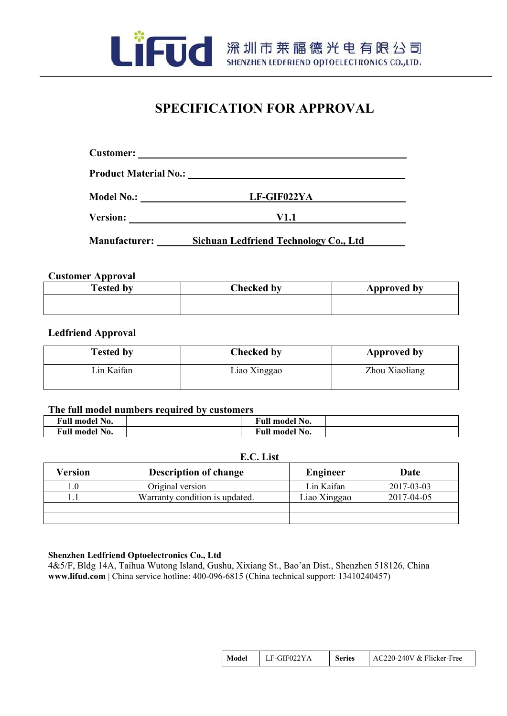

FUC 深圳市莱福德光电有限公司

## **SPECIFICATION FOR APPROVAL**

| <b>Product Material No.:</b> | <u> 1989 - Johann John Stone, Amerikaansk politiker (* 1908)</u> |
|------------------------------|------------------------------------------------------------------|
| <b>Model No.:</b>            | LF-GIF022YA                                                      |
| <b>Version:</b>              | V1.1                                                             |
| <b>Manufacturer:</b>         | Sichuan Ledfriend Technology Co., Ltd                            |

## **Customer Approval**

| <b>Tested by</b> | <b>Checked by</b> | Approved by |
|------------------|-------------------|-------------|
|                  |                   |             |
|                  |                   |             |

## **Ledfriend Approval**

| <b>Tested by</b> | <b>Checked by</b> | <b>Approved by</b> |
|------------------|-------------------|--------------------|
| Lin Kaifan       | Liao Xinggao      | Zhou Xiaoliang     |

## **The full model numbers required by customers**

| Full model No.             |  | <b>Full model No.</b> |  |
|----------------------------|--|-----------------------|--|
| ' No.<br><b>Full model</b> |  | <b>Full model No.</b> |  |

## **E.C. List**

| ∕ersion | <b>Description of change</b>   | <b>Engineer</b> | Date       |
|---------|--------------------------------|-----------------|------------|
| 1.0     | Original version               | Lin Kaifan      | 2017-03-03 |
|         | Warranty condition is updated. | Liao Xinggao    | 2017-04-05 |
|         |                                |                 |            |
|         |                                |                 |            |

## **Shenzhen Ledfriend Optoelectronics Co., Ltd**

4&5/F, Bldg 14A, Taihua Wutong Island, Gushu, Xixiang St., Bao'an Dist., Shenzhen 518126, China **[www.lifud.com](http://www.lifud.com/)** | China service hotline: 400-096-6815 (China technical support: 13410240457)

| Model | LF-GIF022YA | Series | AC220-240V & Flicker-Free |  |
|-------|-------------|--------|---------------------------|--|
|-------|-------------|--------|---------------------------|--|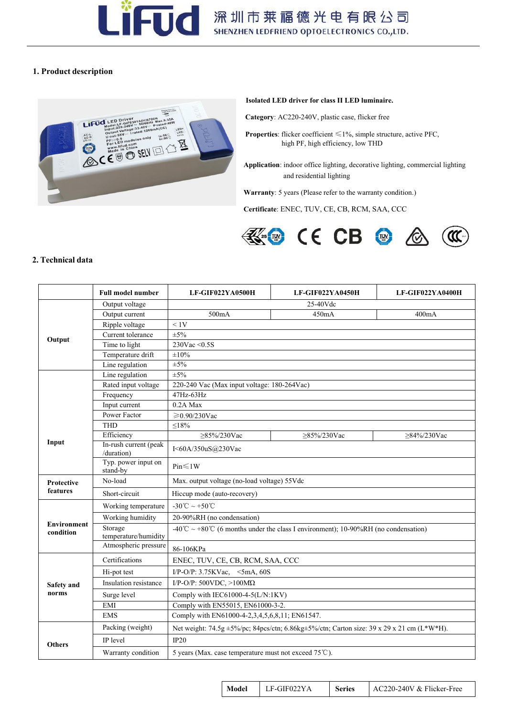

## **1. Product description**



#### **Isolated LED driver for class II LED luminaire.**

**Category**: AC220-240V, plastic case, flicker free

- **Properties**: flicker coefficient ≤1%, simple structure, active PFC, high PF, high efficiency, low THD
- **Application**: indoor office lighting, decorative lighting, commercial lighting and residential lighting

Warranty: 5 years (Please refer to the warranty condition.)

**Certificate**: ENEC, TUV, CE, CB, RCM, SAA, CCC



#### **2. Technical data**

|                                 | <b>Full model number</b>            | LF-GIF022YA0500H                                                                                                                                                                                                                                                                                                                                                                                                                                                                                                                                                                                                                                                                                                                                                                                                                                                                                                         | LF-GIF022YA0450H | LF-GIF022YA0400H |  |
|---------------------------------|-------------------------------------|--------------------------------------------------------------------------------------------------------------------------------------------------------------------------------------------------------------------------------------------------------------------------------------------------------------------------------------------------------------------------------------------------------------------------------------------------------------------------------------------------------------------------------------------------------------------------------------------------------------------------------------------------------------------------------------------------------------------------------------------------------------------------------------------------------------------------------------------------------------------------------------------------------------------------|------------------|------------------|--|
|                                 | Output voltage                      |                                                                                                                                                                                                                                                                                                                                                                                                                                                                                                                                                                                                                                                                                                                                                                                                                                                                                                                          | 25-40Vdc         |                  |  |
|                                 | Output current                      | 500mA                                                                                                                                                                                                                                                                                                                                                                                                                                                                                                                                                                                                                                                                                                                                                                                                                                                                                                                    | 450mA            | 400mA            |  |
| Output                          | Ripple voltage                      | < 1V                                                                                                                                                                                                                                                                                                                                                                                                                                                                                                                                                                                                                                                                                                                                                                                                                                                                                                                     |                  |                  |  |
|                                 | Current tolerance                   | $\pm 5\%$                                                                                                                                                                                                                                                                                                                                                                                                                                                                                                                                                                                                                                                                                                                                                                                                                                                                                                                |                  |                  |  |
|                                 | Time to light                       |                                                                                                                                                                                                                                                                                                                                                                                                                                                                                                                                                                                                                                                                                                                                                                                                                                                                                                                          |                  |                  |  |
|                                 | Temperature drift                   |                                                                                                                                                                                                                                                                                                                                                                                                                                                                                                                                                                                                                                                                                                                                                                                                                                                                                                                          |                  |                  |  |
|                                 | Line regulation                     |                                                                                                                                                                                                                                                                                                                                                                                                                                                                                                                                                                                                                                                                                                                                                                                                                                                                                                                          |                  |                  |  |
|                                 | Line regulation                     | 230Vac < 0.5S<br>±10%<br>$\overline{\pm 5\%}$<br>$\pm 5\%$<br>220-240 Vac (Max input voltage: 180-264Vac)<br>$47Hz - 63Hz$<br>0.2A Max<br>≥0.90/230Vac<br>$\leq$ 18%<br>$\geq$ 85%/230Vac<br>$\geq 85\%/230$ Vac<br>$\geq$ 84%/230Vac<br>I<60A/350uS@230Vac<br>Pin<1W<br>Max. output voltage (no-load voltage) 55Vdc<br>Hiccup mode (auto-recovery)<br>-30°C ~ +50°C<br>20-90%RH (no condensation)<br>-40°C ~ +80°C (6 months under the class I environment); 10-90%RH (no condensation)<br>86-106KPa<br>ENEC, TUV, CE, CB, RCM, SAA, CCC<br>I/P-O/P: $3.75$ KVac, $\leq$ 5mA, 60S<br>I/P-O/P: 500VDC, $>100M\Omega$<br>Comply with IEC61000-4-5(L/N:1KV)<br>Comply with EN55015, EN61000-3-2.<br>Comply with EN61000-4-2,3,4,5,6,8,11; EN61547.<br>Net weight: 74.5g ±5%/pc; 84pcs/ctn; 6.86kg±5%/ctn; Carton size: 39 x 29 x 21 cm (L*W*H).<br>IP20<br>5 years (Max. case temperature must not exceed $75^{\circ}$ C). |                  |                  |  |
|                                 | Rated input voltage                 |                                                                                                                                                                                                                                                                                                                                                                                                                                                                                                                                                                                                                                                                                                                                                                                                                                                                                                                          |                  |                  |  |
|                                 | Frequency                           |                                                                                                                                                                                                                                                                                                                                                                                                                                                                                                                                                                                                                                                                                                                                                                                                                                                                                                                          |                  |                  |  |
|                                 | Input current                       |                                                                                                                                                                                                                                                                                                                                                                                                                                                                                                                                                                                                                                                                                                                                                                                                                                                                                                                          |                  |                  |  |
|                                 | <b>Power Factor</b>                 |                                                                                                                                                                                                                                                                                                                                                                                                                                                                                                                                                                                                                                                                                                                                                                                                                                                                                                                          |                  |                  |  |
|                                 | <b>THD</b>                          |                                                                                                                                                                                                                                                                                                                                                                                                                                                                                                                                                                                                                                                                                                                                                                                                                                                                                                                          |                  |                  |  |
| Input                           | Efficiency                          |                                                                                                                                                                                                                                                                                                                                                                                                                                                                                                                                                                                                                                                                                                                                                                                                                                                                                                                          |                  |                  |  |
|                                 | In-rush current (peak<br>/duration) |                                                                                                                                                                                                                                                                                                                                                                                                                                                                                                                                                                                                                                                                                                                                                                                                                                                                                                                          |                  |                  |  |
|                                 | Typ. power input on<br>stand-by     |                                                                                                                                                                                                                                                                                                                                                                                                                                                                                                                                                                                                                                                                                                                                                                                                                                                                                                                          |                  |                  |  |
| Protective                      | No-load                             |                                                                                                                                                                                                                                                                                                                                                                                                                                                                                                                                                                                                                                                                                                                                                                                                                                                                                                                          |                  |                  |  |
| features                        | Short-circuit                       |                                                                                                                                                                                                                                                                                                                                                                                                                                                                                                                                                                                                                                                                                                                                                                                                                                                                                                                          |                  |                  |  |
|                                 | Working temperature                 |                                                                                                                                                                                                                                                                                                                                                                                                                                                                                                                                                                                                                                                                                                                                                                                                                                                                                                                          |                  |                  |  |
|                                 | Working humidity                    |                                                                                                                                                                                                                                                                                                                                                                                                                                                                                                                                                                                                                                                                                                                                                                                                                                                                                                                          |                  |                  |  |
| <b>Environment</b><br>condition | Storage<br>temperature/humidity     |                                                                                                                                                                                                                                                                                                                                                                                                                                                                                                                                                                                                                                                                                                                                                                                                                                                                                                                          |                  |                  |  |
|                                 | Atmospheric pressure                |                                                                                                                                                                                                                                                                                                                                                                                                                                                                                                                                                                                                                                                                                                                                                                                                                                                                                                                          |                  |                  |  |
|                                 | Certifications                      |                                                                                                                                                                                                                                                                                                                                                                                                                                                                                                                                                                                                                                                                                                                                                                                                                                                                                                                          |                  |                  |  |
|                                 | Hi-pot test                         |                                                                                                                                                                                                                                                                                                                                                                                                                                                                                                                                                                                                                                                                                                                                                                                                                                                                                                                          |                  |                  |  |
| <b>Safety</b> and               | Insulation resistance               |                                                                                                                                                                                                                                                                                                                                                                                                                                                                                                                                                                                                                                                                                                                                                                                                                                                                                                                          |                  |                  |  |
| norms                           | Surge level                         |                                                                                                                                                                                                                                                                                                                                                                                                                                                                                                                                                                                                                                                                                                                                                                                                                                                                                                                          |                  |                  |  |
|                                 | EMI                                 |                                                                                                                                                                                                                                                                                                                                                                                                                                                                                                                                                                                                                                                                                                                                                                                                                                                                                                                          |                  |                  |  |
|                                 | <b>EMS</b>                          |                                                                                                                                                                                                                                                                                                                                                                                                                                                                                                                                                                                                                                                                                                                                                                                                                                                                                                                          |                  |                  |  |
|                                 | Packing (weight)                    |                                                                                                                                                                                                                                                                                                                                                                                                                                                                                                                                                                                                                                                                                                                                                                                                                                                                                                                          |                  |                  |  |
| <b>Others</b>                   | <b>IP</b> level                     |                                                                                                                                                                                                                                                                                                                                                                                                                                                                                                                                                                                                                                                                                                                                                                                                                                                                                                                          |                  |                  |  |
|                                 | Warranty condition                  |                                                                                                                                                                                                                                                                                                                                                                                                                                                                                                                                                                                                                                                                                                                                                                                                                                                                                                                          |                  |                  |  |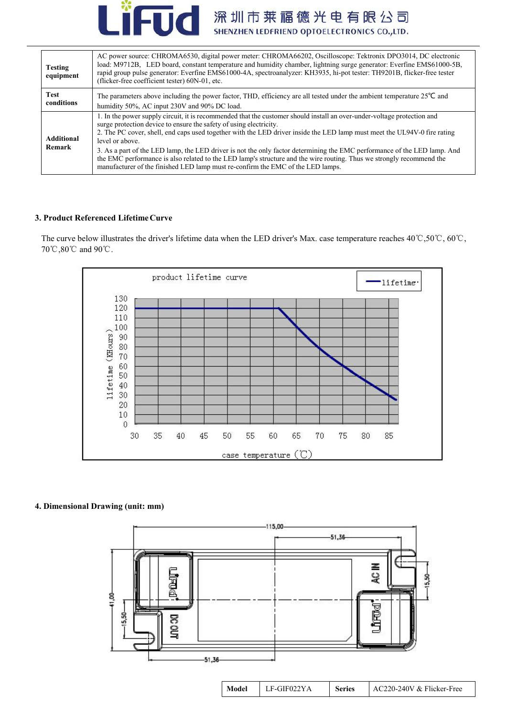

| <b>Testing</b><br>equipment | AC power source: CHROMA6530, digital power meter: CHROMA66202, Oscilloscope: Tektronix DPO3014, DC electronic<br>load: M9712B, LED board, constant temperature and humidity chamber, lightning surge generator: Everfine EMS61000-5B,<br>rapid group pulse generator: Everfine EMS61000-4A, spectroanalyzer: KH3935, hi-pot tester: TH9201B, flicker-free tester<br>(flicker-free coefficient tester) 60N-01, etc.                                                                                                                                                                                                                                                                  |
|-----------------------------|-------------------------------------------------------------------------------------------------------------------------------------------------------------------------------------------------------------------------------------------------------------------------------------------------------------------------------------------------------------------------------------------------------------------------------------------------------------------------------------------------------------------------------------------------------------------------------------------------------------------------------------------------------------------------------------|
| Test<br>conditions          | The parameters above including the power factor, THD, efficiency are all tested under the ambient temperature $25^{\circ}$ C and<br>humidity 50%, AC input 230V and 90% DC load.                                                                                                                                                                                                                                                                                                                                                                                                                                                                                                    |
| <b>Additional</b><br>Remark | 1. In the power supply circuit, it is recommended that the customer should install an over-under-voltage protection and<br>surge protection device to ensure the safety of using electricity.<br>2. The PC cover, shell, end caps used together with the LED driver inside the LED lamp must meet the UL94V-0 fire rating<br>level or above.<br>3. As a part of the LED lamp, the LED driver is not the only factor determining the EMC performance of the LED lamp. And<br>the EMC performance is also related to the LED lamp's structure and the wire routing. Thus we strongly recommend the<br>manufacturer of the finished LED lamp must re-confirm the EMC of the LED lamps. |

## **3. Product Referenced LifetimeCurve**

The curve below illustrates the driver's lifetime data when the LED driver's Max. case temperature reaches 40℃,50℃, 60℃, 70℃,80℃ and 90℃.



## **4. Dimensional Drawing (unit: mm)**